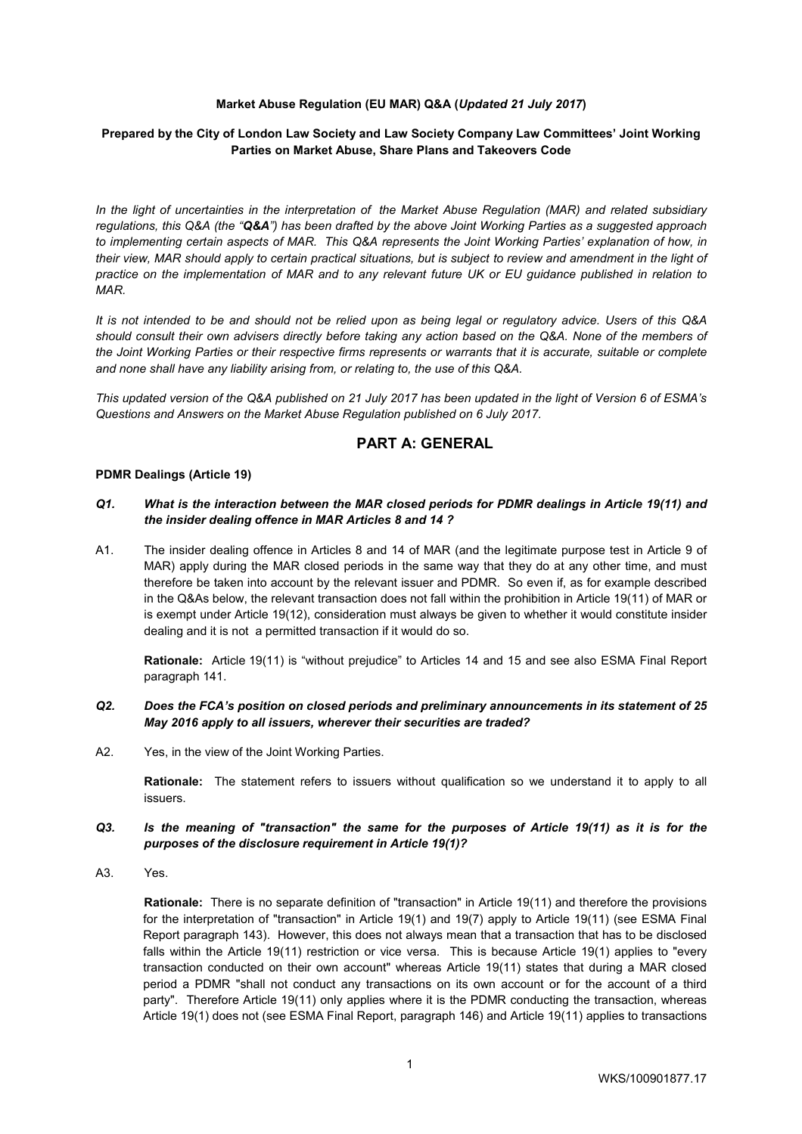### **Market Abuse Regulation (EU MAR) Q&A (***Updated 21 July 2017***)**

### **Prepared by the City of London Law Society and Law Society Company Law Committees' Joint Working Parties on Market Abuse, Share Plans and Takeovers Code**

*In the light of uncertainties in the interpretation of the Market Abuse Regulation (MAR) and related subsidiary regulations, this Q&A (the "Q&A") has been drafted by the above Joint Working Parties as a suggested approach*  to implementing certain aspects of MAR. This Q&A represents the Joint Working Parties' explanation of how, in *their view, MAR should apply to certain practical situations, but is subject to review and amendment in the light of practice on the implementation of MAR and to any relevant future UK or EU guidance published in relation to MAR.* 

*It is not intended to be and should not be relied upon as being legal or regulatory advice. Users of this Q&A should consult their own advisers directly before taking any action based on the Q&A. None of the members of the Joint Working Parties or their respective firms represents or warrants that it is accurate, suitable or complete and none shall have any liability arising from, or relating to, the use of this Q&A.* 

*This updated version of the Q&A published on 21 July 2017 has been updated in the light of Version 6 of ESMA's Questions and Answers on the Market Abuse Regulation published on 6 July 2017.* 

# **PART A: GENERAL**

#### **PDMR Dealings (Article 19)**

#### *Q1. What is the interaction between the MAR closed periods for PDMR dealings in Article 19(11) and the insider dealing offence in MAR Articles 8 and 14 ?*

A1. The insider dealing offence in Articles 8 and 14 of MAR (and the legitimate purpose test in Article 9 of MAR) apply during the MAR closed periods in the same way that they do at any other time, and must therefore be taken into account by the relevant issuer and PDMR. So even if, as for example described in the Q&As below, the relevant transaction does not fall within the prohibition in Article 19(11) of MAR or is exempt under Article 19(12), consideration must always be given to whether it would constitute insider dealing and it is not a permitted transaction if it would do so.

**Rationale:** Article 19(11) is "without prejudice" to Articles 14 and 15 and see also ESMA Final Report paragraph 141.

#### *Q2. Does the FCA's position on closed periods and preliminary announcements in its statement of 25 May 2016 apply to all issuers, wherever their securities are traded?*

A2. Yes, in the view of the Joint Working Parties.

**Rationale:** The statement refers to issuers without qualification so we understand it to apply to all issuers.

#### *Q3. Is the meaning of "transaction" the same for the purposes of Article 19(11) as it is for the purposes of the disclosure requirement in Article 19(1)?*

A3. Yes.

**Rationale:** There is no separate definition of "transaction" in Article 19(11) and therefore the provisions for the interpretation of "transaction" in Article 19(1) and 19(7) apply to Article 19(11) (see ESMA Final Report paragraph 143). However, this does not always mean that a transaction that has to be disclosed falls within the Article 19(11) restriction or vice versa. This is because Article 19(1) applies to "every transaction conducted on their own account" whereas Article 19(11) states that during a MAR closed period a PDMR "shall not conduct any transactions on its own account or for the account of a third party". Therefore Article 19(11) only applies where it is the PDMR conducting the transaction, whereas Article 19(1) does not (see ESMA Final Report, paragraph 146) and Article 19(11) applies to transactions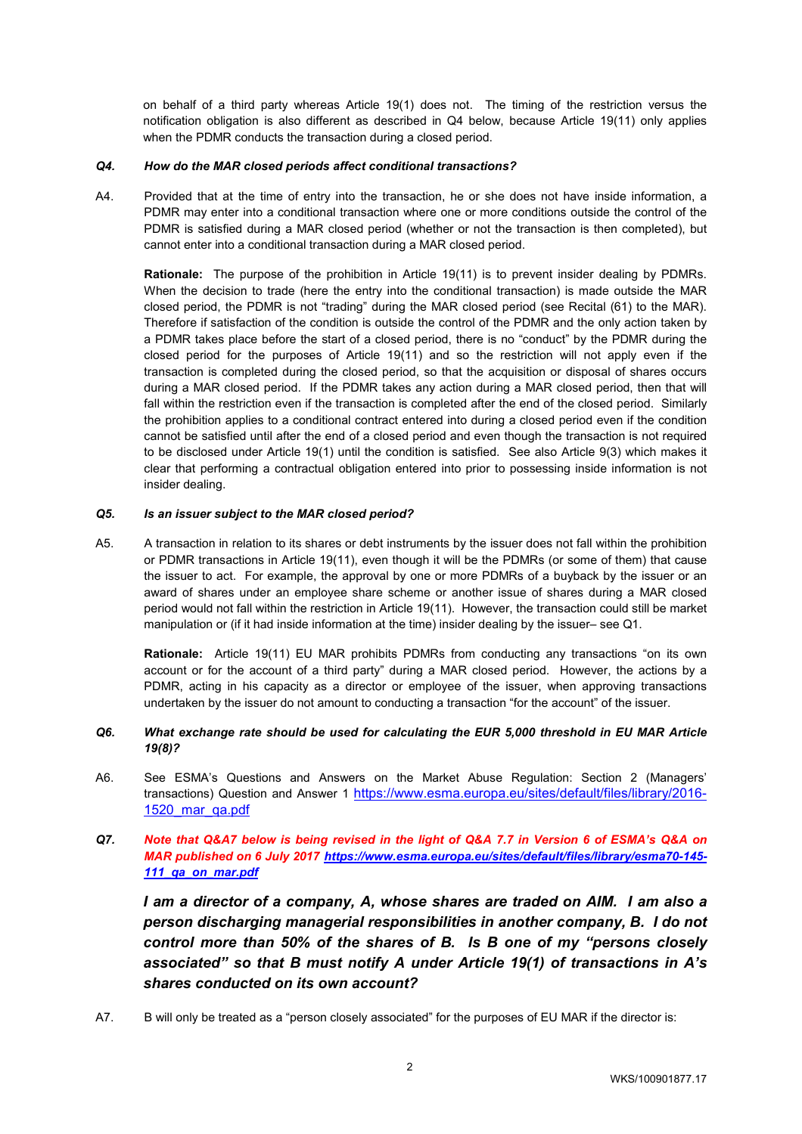on behalf of a third party whereas Article 19(1) does not. The timing of the restriction versus the notification obligation is also different as described in Q4 below, because Article 19(11) only applies when the PDMR conducts the transaction during a closed period.

### *Q4. How do the MAR closed periods affect conditional transactions?*

A4. Provided that at the time of entry into the transaction, he or she does not have inside information, a PDMR may enter into a conditional transaction where one or more conditions outside the control of the PDMR is satisfied during a MAR closed period (whether or not the transaction is then completed), but cannot enter into a conditional transaction during a MAR closed period.

 **Rationale:** The purpose of the prohibition in Article 19(11) is to prevent insider dealing by PDMRs. When the decision to trade (here the entry into the conditional transaction) is made outside the MAR closed period, the PDMR is not "trading" during the MAR closed period (see Recital (61) to the MAR). Therefore if satisfaction of the condition is outside the control of the PDMR and the only action taken by a PDMR takes place before the start of a closed period, there is no "conduct" by the PDMR during the closed period for the purposes of Article 19(11) and so the restriction will not apply even if the transaction is completed during the closed period, so that the acquisition or disposal of shares occurs during a MAR closed period. If the PDMR takes any action during a MAR closed period, then that will fall within the restriction even if the transaction is completed after the end of the closed period. Similarly the prohibition applies to a conditional contract entered into during a closed period even if the condition cannot be satisfied until after the end of a closed period and even though the transaction is not required to be disclosed under Article 19(1) until the condition is satisfied. See also Article 9(3) which makes it clear that performing a contractual obligation entered into prior to possessing inside information is not insider dealing.

## *Q5. Is an issuer subject to the MAR closed period?*

A5. A transaction in relation to its shares or debt instruments by the issuer does not fall within the prohibition or PDMR transactions in Article 19(11), even though it will be the PDMRs (or some of them) that cause the issuer to act. For example, the approval by one or more PDMRs of a buyback by the issuer or an award of shares under an employee share scheme or another issue of shares during a MAR closed period would not fall within the restriction in Article 19(11). However, the transaction could still be market manipulation or (if it had inside information at the time) insider dealing by the issuer– see Q1.

**Rationale:** Article 19(11) EU MAR prohibits PDMRs from conducting any transactions "on its own account or for the account of a third party" during a MAR closed period. However, the actions by a PDMR, acting in his capacity as a director or employee of the issuer, when approving transactions undertaken by the issuer do not amount to conducting a transaction "for the account" of the issuer.

## *Q6. What exchange rate should be used for calculating the EUR 5,000 threshold in EU MAR Article 19(8)?*

- A6. See ESMA's Questions and Answers on the Market Abuse Regulation: Section 2 (Managers' transactions) Question and Answer 1 https://www.esma.europa.eu/sites/default/files/library/2016-1520\_mar\_qa.pdf
- *Q7. Note that Q&A7 below is being revised in the light of Q&A 7.7 in Version 6 of ESMA's Q&A on MAR published on 6 July 2017 https://www.esma.europa.eu/sites/default/files/library/esma70-145- 111\_qa\_on\_mar.pdf*

*I am a director of a company, A, whose shares are traded on AIM. I am also a person discharging managerial responsibilities in another company, B. I do not control more than 50% of the shares of B. Is B one of my "persons closely associated" so that B must notify A under Article 19(1) of transactions in A's shares conducted on its own account?* 

A7. B will only be treated as a "person closely associated" for the purposes of EU MAR if the director is: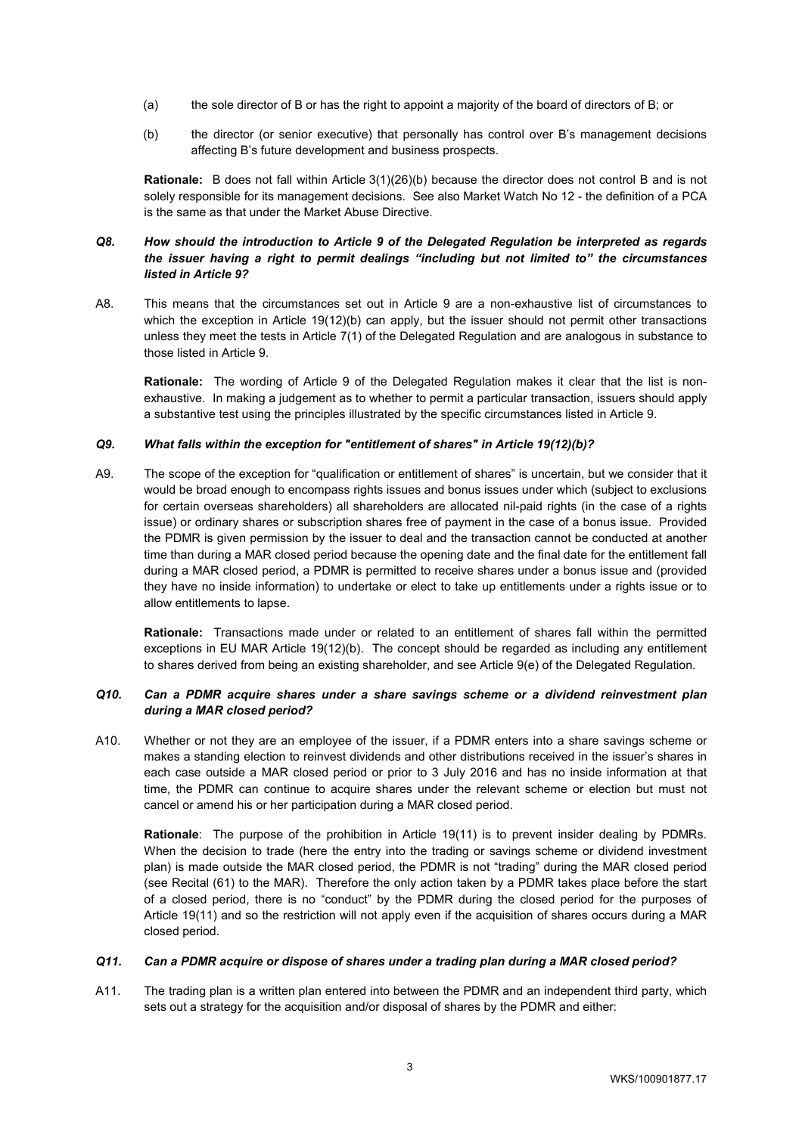- (a) the sole director of B or has the right to appoint a majority of the board of directors of B; or
- (b) the director (or senior executive) that personally has control over B's management decisions affecting B's future development and business prospects.

**Rationale:** B does not fall within Article 3(1)(26)(b) because the director does not control B and is not solely responsible for its management decisions. See also Market Watch No 12 - the definition of a PCA is the same as that under the Market Abuse Directive.

## *Q8. How should the introduction to Article 9 of the Delegated Regulation be interpreted as regards the issuer having a right to permit dealings "including but not limited to" the circumstances listed in Article 9?*

A8. This means that the circumstances set out in Article 9 are a non-exhaustive list of circumstances to which the exception in Article 19(12)(b) can apply, but the issuer should not permit other transactions unless they meet the tests in Article 7(1) of the Delegated Regulation and are analogous in substance to those listed in Article 9.

**Rationale:** The wording of Article 9 of the Delegated Regulation makes it clear that the list is nonexhaustive. In making a judgement as to whether to permit a particular transaction, issuers should apply a substantive test using the principles illustrated by the specific circumstances listed in Article 9.

## *Q9. What falls within the exception for "entitlement of shares" in Article 19(12)(b)?*

A9. The scope of the exception for "qualification or entitlement of shares" is uncertain, but we consider that it would be broad enough to encompass rights issues and bonus issues under which (subject to exclusions for certain overseas shareholders) all shareholders are allocated nil-paid rights (in the case of a rights issue) or ordinary shares or subscription shares free of payment in the case of a bonus issue. Provided the PDMR is given permission by the issuer to deal and the transaction cannot be conducted at another time than during a MAR closed period because the opening date and the final date for the entitlement fall during a MAR closed period, a PDMR is permitted to receive shares under a bonus issue and (provided they have no inside information) to undertake or elect to take up entitlements under a rights issue or to allow entitlements to lapse.

**Rationale:** Transactions made under or related to an entitlement of shares fall within the permitted exceptions in EU MAR Article 19(12)(b). The concept should be regarded as including any entitlement to shares derived from being an existing shareholder, and see Article 9(e) of the Delegated Regulation.

#### *Q10. Can a PDMR acquire shares under a share savings scheme or a dividend reinvestment plan during a MAR closed period?*

A10. Whether or not they are an employee of the issuer, if a PDMR enters into a share savings scheme or makes a standing election to reinvest dividends and other distributions received in the issuer's shares in each case outside a MAR closed period or prior to 3 July 2016 and has no inside information at that time, the PDMR can continue to acquire shares under the relevant scheme or election but must not cancel or amend his or her participation during a MAR closed period.

**Rationale**: The purpose of the prohibition in Article 19(11) is to prevent insider dealing by PDMRs. When the decision to trade (here the entry into the trading or savings scheme or dividend investment plan) is made outside the MAR closed period, the PDMR is not "trading" during the MAR closed period (see Recital (61) to the MAR). Therefore the only action taken by a PDMR takes place before the start of a closed period, there is no "conduct" by the PDMR during the closed period for the purposes of Article 19(11) and so the restriction will not apply even if the acquisition of shares occurs during a MAR closed period.

## *Q11. Can a PDMR acquire or dispose of shares under a trading plan during a MAR closed period?*

A11. The trading plan is a written plan entered into between the PDMR and an independent third party, which sets out a strategy for the acquisition and/or disposal of shares by the PDMR and either: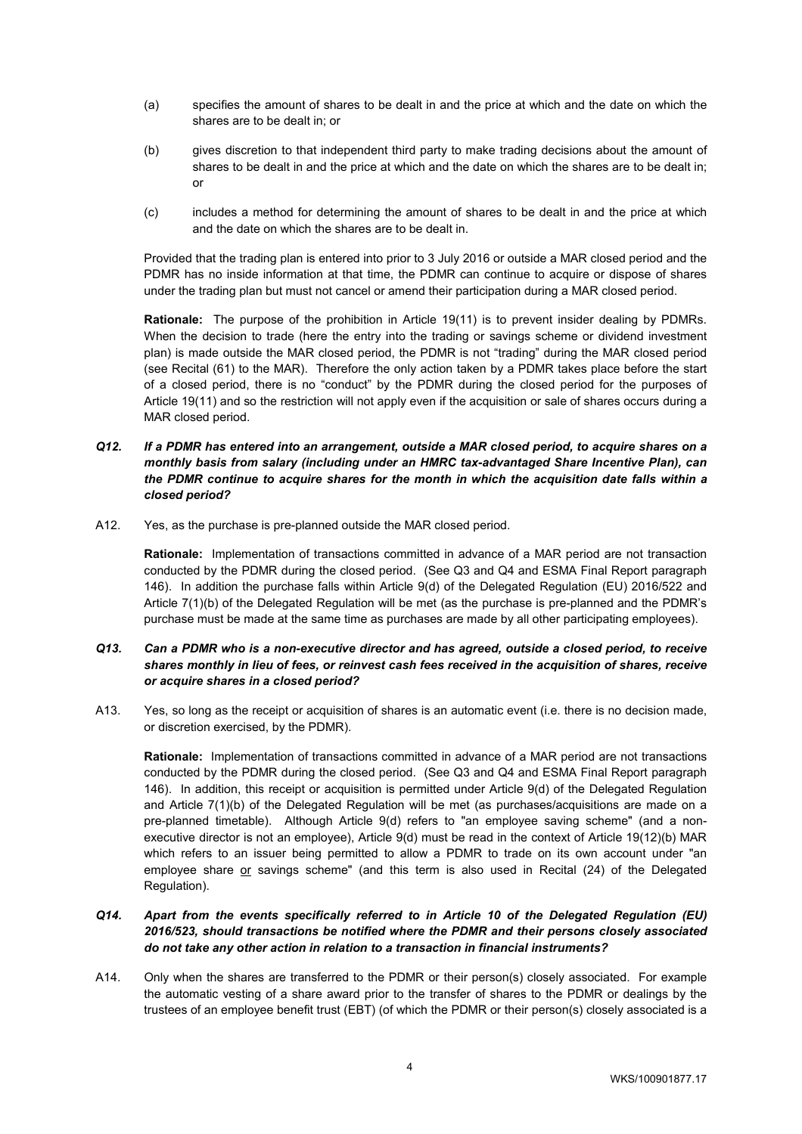- (a) specifies the amount of shares to be dealt in and the price at which and the date on which the shares are to be dealt in; or
- (b) gives discretion to that independent third party to make trading decisions about the amount of shares to be dealt in and the price at which and the date on which the shares are to be dealt in; or
- (c) includes a method for determining the amount of shares to be dealt in and the price at which and the date on which the shares are to be dealt in.

Provided that the trading plan is entered into prior to 3 July 2016 or outside a MAR closed period and the PDMR has no inside information at that time, the PDMR can continue to acquire or dispose of shares under the trading plan but must not cancel or amend their participation during a MAR closed period.

**Rationale:** The purpose of the prohibition in Article 19(11) is to prevent insider dealing by PDMRs. When the decision to trade (here the entry into the trading or savings scheme or dividend investment plan) is made outside the MAR closed period, the PDMR is not "trading" during the MAR closed period (see Recital (61) to the MAR). Therefore the only action taken by a PDMR takes place before the start of a closed period, there is no "conduct" by the PDMR during the closed period for the purposes of Article 19(11) and so the restriction will not apply even if the acquisition or sale of shares occurs during a MAR closed period.

- *Q12. If a PDMR has entered into an arrangement, outside a MAR closed period, to acquire shares on a monthly basis from salary (including under an HMRC tax-advantaged Share Incentive Plan), can the PDMR continue to acquire shares for the month in which the acquisition date falls within a closed period?*
- A12. Yes, as the purchase is pre-planned outside the MAR closed period.

**Rationale:** Implementation of transactions committed in advance of a MAR period are not transaction conducted by the PDMR during the closed period. (See Q3 and Q4 and ESMA Final Report paragraph 146). In addition the purchase falls within Article 9(d) of the Delegated Regulation (EU) 2016/522 and Article 7(1)(b) of the Delegated Regulation will be met (as the purchase is pre-planned and the PDMR's purchase must be made at the same time as purchases are made by all other participating employees).

### *Q13. Can a PDMR who is a non-executive director and has agreed, outside a closed period, to receive shares monthly in lieu of fees, or reinvest cash fees received in the acquisition of shares, receive or acquire shares in a closed period?*

A13. Yes, so long as the receipt or acquisition of shares is an automatic event (i.e. there is no decision made, or discretion exercised, by the PDMR).

**Rationale:** Implementation of transactions committed in advance of a MAR period are not transactions conducted by the PDMR during the closed period. (See Q3 and Q4 and ESMA Final Report paragraph 146). In addition, this receipt or acquisition is permitted under Article 9(d) of the Delegated Regulation and Article 7(1)(b) of the Delegated Regulation will be met (as purchases/acquisitions are made on a pre-planned timetable). Although Article 9(d) refers to "an employee saving scheme" (and a nonexecutive director is not an employee), Article 9(d) must be read in the context of Article 19(12)(b) MAR which refers to an issuer being permitted to allow a PDMR to trade on its own account under "an employee share or savings scheme" (and this term is also used in Recital (24) of the Delegated Regulation).

## *Q14. Apart from the events specifically referred to in Article 10 of the Delegated Regulation (EU) 2016/523, should transactions be notified where the PDMR and their persons closely associated do not take any other action in relation to a transaction in financial instruments?*

A14. Only when the shares are transferred to the PDMR or their person(s) closely associated. For example the automatic vesting of a share award prior to the transfer of shares to the PDMR or dealings by the trustees of an employee benefit trust (EBT) (of which the PDMR or their person(s) closely associated is a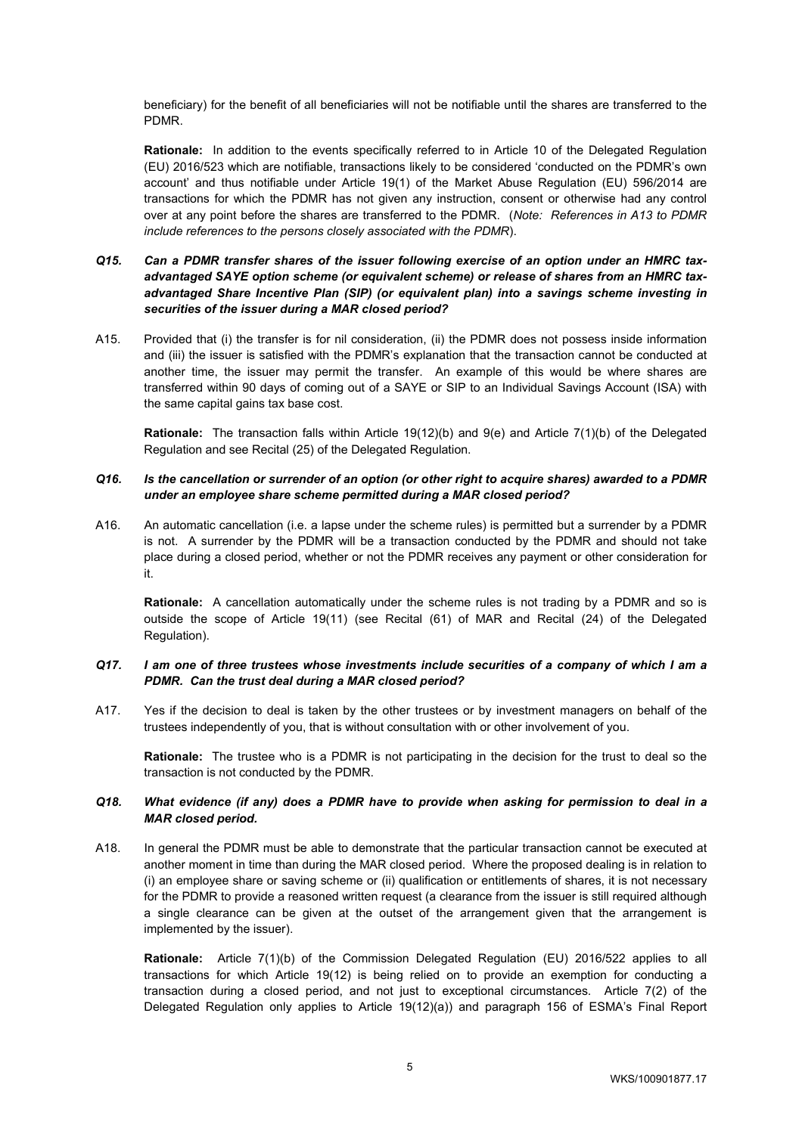beneficiary) for the benefit of all beneficiaries will not be notifiable until the shares are transferred to the PDMR.

**Rationale:** In addition to the events specifically referred to in Article 10 of the Delegated Regulation (EU) 2016/523 which are notifiable, transactions likely to be considered 'conducted on the PDMR's own account' and thus notifiable under Article 19(1) of the Market Abuse Regulation (EU) 596/2014 are transactions for which the PDMR has not given any instruction, consent or otherwise had any control over at any point before the shares are transferred to the PDMR. (*Note: References in A13 to PDMR include references to the persons closely associated with the PDMR*).

## *Q15. Can a PDMR transfer shares of the issuer following exercise of an option under an HMRC tax*advantaged SAYE option scheme (or equivalent scheme) or release of shares from an HMRC tax*advantaged Share Incentive Plan (SIP) (or equivalent plan) into a savings scheme investing in securities of the issuer during a MAR closed period?*

A15. Provided that (i) the transfer is for nil consideration, (ii) the PDMR does not possess inside information and (iii) the issuer is satisfied with the PDMR's explanation that the transaction cannot be conducted at another time, the issuer may permit the transfer. An example of this would be where shares are transferred within 90 days of coming out of a SAYE or SIP to an Individual Savings Account (ISA) with the same capital gains tax base cost.

**Rationale:** The transaction falls within Article 19(12)(b) and 9(e) and Article 7(1)(b) of the Delegated Regulation and see Recital (25) of the Delegated Regulation.

#### *Q16. Is the cancellation or surrender of an option (or other right to acquire shares) awarded to a PDMR under an employee share scheme permitted during a MAR closed period?*

A16. An automatic cancellation (i.e. a lapse under the scheme rules) is permitted but a surrender by a PDMR is not. A surrender by the PDMR will be a transaction conducted by the PDMR and should not take place during a closed period, whether or not the PDMR receives any payment or other consideration for it.

**Rationale:** A cancellation automatically under the scheme rules is not trading by a PDMR and so is outside the scope of Article 19(11) (see Recital (61) of MAR and Recital (24) of the Delegated Regulation).

#### *Q17. I am one of three trustees whose investments include securities of a company of which I am a PDMR. Can the trust deal during a MAR closed period?*

A17. Yes if the decision to deal is taken by the other trustees or by investment managers on behalf of the trustees independently of you, that is without consultation with or other involvement of you.

**Rationale:** The trustee who is a PDMR is not participating in the decision for the trust to deal so the transaction is not conducted by the PDMR.

### *Q18. What evidence (if any) does a PDMR have to provide when asking for permission to deal in a MAR closed period.*

A18. In general the PDMR must be able to demonstrate that the particular transaction cannot be executed at another moment in time than during the MAR closed period. Where the proposed dealing is in relation to (i) an employee share or saving scheme or (ii) qualification or entitlements of shares, it is not necessary for the PDMR to provide a reasoned written request (a clearance from the issuer is still required although a single clearance can be given at the outset of the arrangement given that the arrangement is implemented by the issuer).

**Rationale:** Article 7(1)(b) of the Commission Delegated Regulation (EU) 2016/522 applies to all transactions for which Article 19(12) is being relied on to provide an exemption for conducting a transaction during a closed period, and not just to exceptional circumstances. Article 7(2) of the Delegated Regulation only applies to Article 19(12)(a)) and paragraph 156 of ESMA's Final Report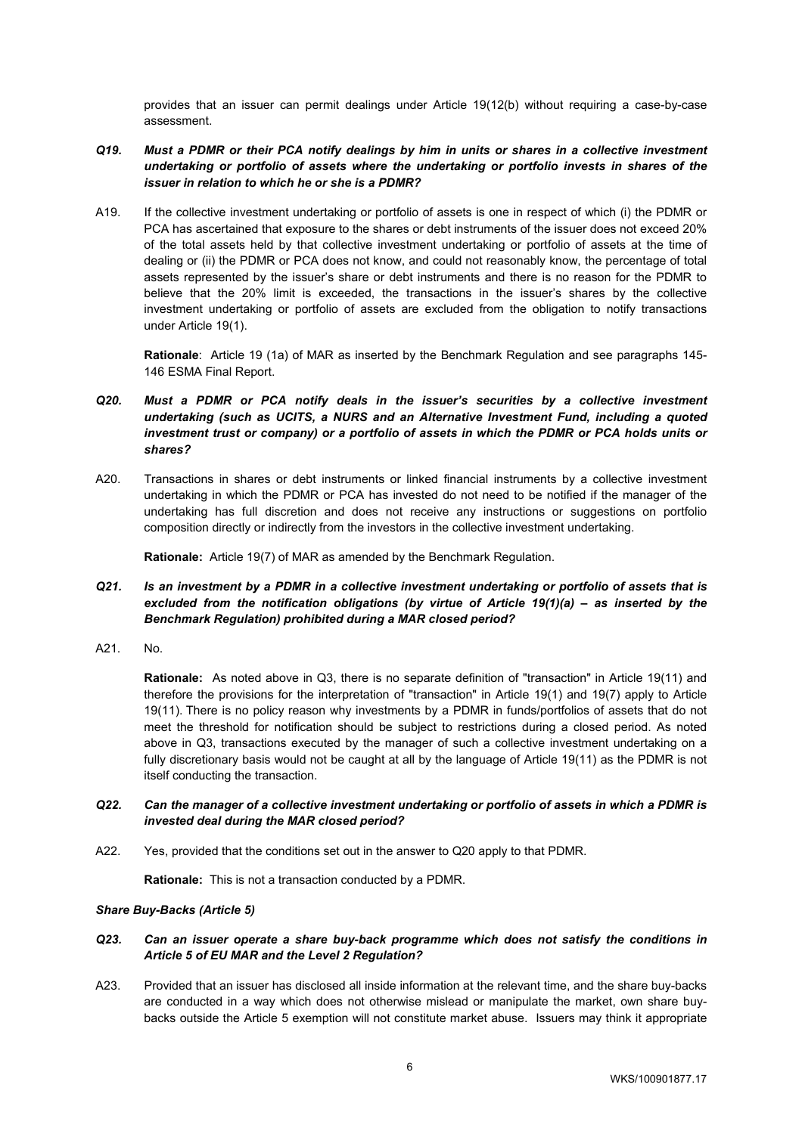provides that an issuer can permit dealings under Article 19(12(b) without requiring a case-by-case assessment.

## *Q19. Must a PDMR or their PCA notify dealings by him in units or shares in a collective investment undertaking or portfolio of assets where the undertaking or portfolio invests in shares of the issuer in relation to which he or she is a PDMR?*

A19. If the collective investment undertaking or portfolio of assets is one in respect of which (i) the PDMR or PCA has ascertained that exposure to the shares or debt instruments of the issuer does not exceed 20% of the total assets held by that collective investment undertaking or portfolio of assets at the time of dealing or (ii) the PDMR or PCA does not know, and could not reasonably know, the percentage of total assets represented by the issuer's share or debt instruments and there is no reason for the PDMR to believe that the 20% limit is exceeded, the transactions in the issuer's shares by the collective investment undertaking or portfolio of assets are excluded from the obligation to notify transactions under Article 19(1).

**Rationale**: Article 19 (1a) of MAR as inserted by the Benchmark Regulation and see paragraphs 145- 146 ESMA Final Report.

- *Q20. Must a PDMR or PCA notify deals in the issuer's securities by a collective investment undertaking (such as UCITS, a NURS and an Alternative Investment Fund, including a quoted*  investment trust or company) or a portfolio of assets in which the PDMR or PCA holds units or *shares?*
- A20. Transactions in shares or debt instruments or linked financial instruments by a collective investment undertaking in which the PDMR or PCA has invested do not need to be notified if the manager of the undertaking has full discretion and does not receive any instructions or suggestions on portfolio composition directly or indirectly from the investors in the collective investment undertaking.

**Rationale:** Article 19(7) of MAR as amended by the Benchmark Regulation.

- *Q21. Is an investment by a PDMR in a collective investment undertaking or portfolio of assets that is excluded from the notification obligations (by virtue of Article 19(1)(a) – as inserted by the Benchmark Regulation) prohibited during a MAR closed period?*
- A21. No.

**Rationale:** As noted above in Q3, there is no separate definition of "transaction" in Article 19(11) and therefore the provisions for the interpretation of "transaction" in Article 19(1) and 19(7) apply to Article 19(11). There is no policy reason why investments by a PDMR in funds/portfolios of assets that do not meet the threshold for notification should be subject to restrictions during a closed period. As noted above in Q3, transactions executed by the manager of such a collective investment undertaking on a fully discretionary basis would not be caught at all by the language of Article 19(11) as the PDMR is not itself conducting the transaction.

- *Q22. Can the manager of a collective investment undertaking or portfolio of assets in which a PDMR is invested deal during the MAR closed period?*
- A22. Yes, provided that the conditions set out in the answer to Q20 apply to that PDMR.

**Rationale:** This is not a transaction conducted by a PDMR.

#### *Share Buy-Backs (Article 5)*

### *Q23. Can an issuer operate a share buy-back programme which does not satisfy the conditions in Article 5 of EU MAR and the Level 2 Regulation?*

A23. Provided that an issuer has disclosed all inside information at the relevant time, and the share buy-backs are conducted in a way which does not otherwise mislead or manipulate the market, own share buybacks outside the Article 5 exemption will not constitute market abuse. Issuers may think it appropriate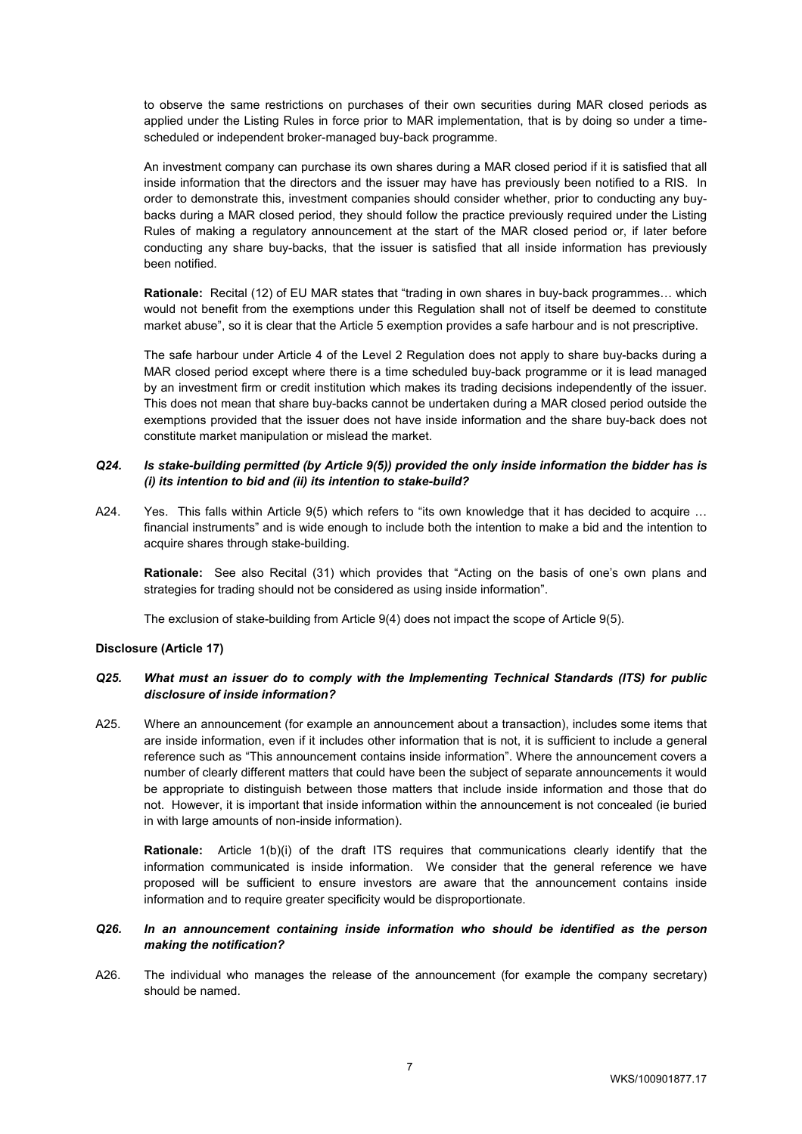to observe the same restrictions on purchases of their own securities during MAR closed periods as applied under the Listing Rules in force prior to MAR implementation, that is by doing so under a timescheduled or independent broker-managed buy-back programme.

An investment company can purchase its own shares during a MAR closed period if it is satisfied that all inside information that the directors and the issuer may have has previously been notified to a RIS. In order to demonstrate this, investment companies should consider whether, prior to conducting any buybacks during a MAR closed period, they should follow the practice previously required under the Listing Rules of making a regulatory announcement at the start of the MAR closed period or, if later before conducting any share buy-backs, that the issuer is satisfied that all inside information has previously been notified.

**Rationale:** Recital (12) of EU MAR states that "trading in own shares in buy-back programmes… which would not benefit from the exemptions under this Regulation shall not of itself be deemed to constitute market abuse", so it is clear that the Article 5 exemption provides a safe harbour and is not prescriptive.

The safe harbour under Article 4 of the Level 2 Regulation does not apply to share buy-backs during a MAR closed period except where there is a time scheduled buy-back programme or it is lead managed by an investment firm or credit institution which makes its trading decisions independently of the issuer. This does not mean that share buy-backs cannot be undertaken during a MAR closed period outside the exemptions provided that the issuer does not have inside information and the share buy-back does not constitute market manipulation or mislead the market.

## *Q24. Is stake-building permitted (by Article 9(5)) provided the only inside information the bidder has is (i) its intention to bid and (ii) its intention to stake-build?*

A24. Yes. This falls within Article 9(5) which refers to "its own knowledge that it has decided to acquire ... financial instruments" and is wide enough to include both the intention to make a bid and the intention to acquire shares through stake-building.

**Rationale:** See also Recital (31) which provides that "Acting on the basis of one's own plans and strategies for trading should not be considered as using inside information".

The exclusion of stake-building from Article 9(4) does not impact the scope of Article 9(5).

### **Disclosure (Article 17)**

### *Q25. What must an issuer do to comply with the Implementing Technical Standards (ITS) for public disclosure of inside information?*

A25. Where an announcement (for example an announcement about a transaction), includes some items that are inside information, even if it includes other information that is not, it is sufficient to include a general reference such as "This announcement contains inside information". Where the announcement covers a number of clearly different matters that could have been the subject of separate announcements it would be appropriate to distinguish between those matters that include inside information and those that do not. However, it is important that inside information within the announcement is not concealed (ie buried in with large amounts of non-inside information).

**Rationale:** Article 1(b)(i) of the draft ITS requires that communications clearly identify that the information communicated is inside information. We consider that the general reference we have proposed will be sufficient to ensure investors are aware that the announcement contains inside information and to require greater specificity would be disproportionate.

#### *Q26. In an announcement containing inside information who should be identified as the person making the notification?*

A26. The individual who manages the release of the announcement (for example the company secretary) should be named.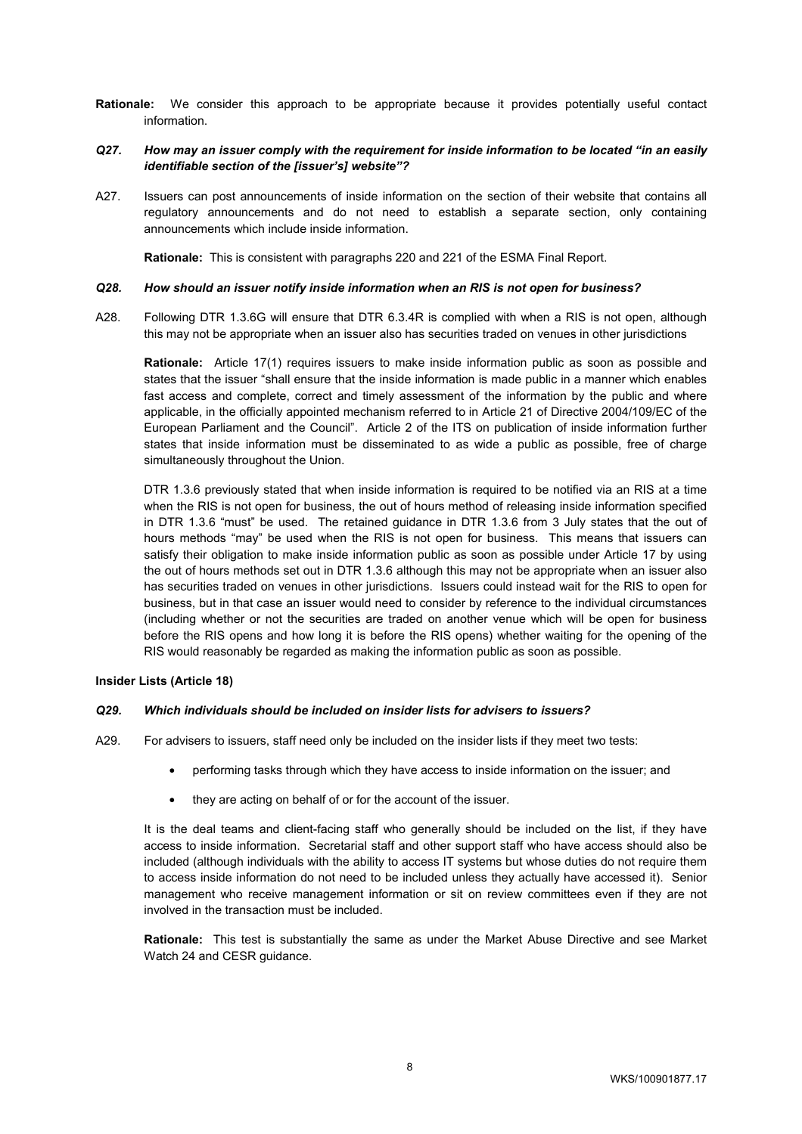**Rationale:** We consider this approach to be appropriate because it provides potentially useful contact information.

### *Q27. How may an issuer comply with the requirement for inside information to be located "in an easily identifiable section of the [issuer's] website"?*

A27. Issuers can post announcements of inside information on the section of their website that contains all regulatory announcements and do not need to establish a separate section, only containing announcements which include inside information.

**Rationale:** This is consistent with paragraphs 220 and 221 of the ESMA Final Report.

#### *Q28. How should an issuer notify inside information when an RIS is not open for business?*

A28. Following DTR 1.3.6G will ensure that DTR 6.3.4R is complied with when a RIS is not open, although this may not be appropriate when an issuer also has securities traded on venues in other jurisdictions

**Rationale:** Article 17(1) requires issuers to make inside information public as soon as possible and states that the issuer "shall ensure that the inside information is made public in a manner which enables fast access and complete, correct and timely assessment of the information by the public and where applicable, in the officially appointed mechanism referred to in Article 21 of Directive 2004/109/EC of the European Parliament and the Council". Article 2 of the ITS on publication of inside information further states that inside information must be disseminated to as wide a public as possible, free of charge simultaneously throughout the Union.

DTR 1.3.6 previously stated that when inside information is required to be notified via an RIS at a time when the RIS is not open for business, the out of hours method of releasing inside information specified in DTR 1.3.6 "must" be used. The retained guidance in DTR 1.3.6 from 3 July states that the out of hours methods "may" be used when the RIS is not open for business. This means that issuers can satisfy their obligation to make inside information public as soon as possible under Article 17 by using the out of hours methods set out in DTR 1.3.6 although this may not be appropriate when an issuer also has securities traded on venues in other jurisdictions. Issuers could instead wait for the RIS to open for business, but in that case an issuer would need to consider by reference to the individual circumstances (including whether or not the securities are traded on another venue which will be open for business before the RIS opens and how long it is before the RIS opens) whether waiting for the opening of the RIS would reasonably be regarded as making the information public as soon as possible.

### **Insider Lists (Article 18)**

#### *Q29. Which individuals should be included on insider lists for advisers to issuers?*

- A29. For advisers to issuers, staff need only be included on the insider lists if they meet two tests:
	- performing tasks through which they have access to inside information on the issuer; and
	- they are acting on behalf of or for the account of the issuer.

It is the deal teams and client-facing staff who generally should be included on the list, if they have access to inside information. Secretarial staff and other support staff who have access should also be included (although individuals with the ability to access IT systems but whose duties do not require them to access inside information do not need to be included unless they actually have accessed it). Senior management who receive management information or sit on review committees even if they are not involved in the transaction must be included.

**Rationale:** This test is substantially the same as under the Market Abuse Directive and see Market Watch 24 and CESR guidance.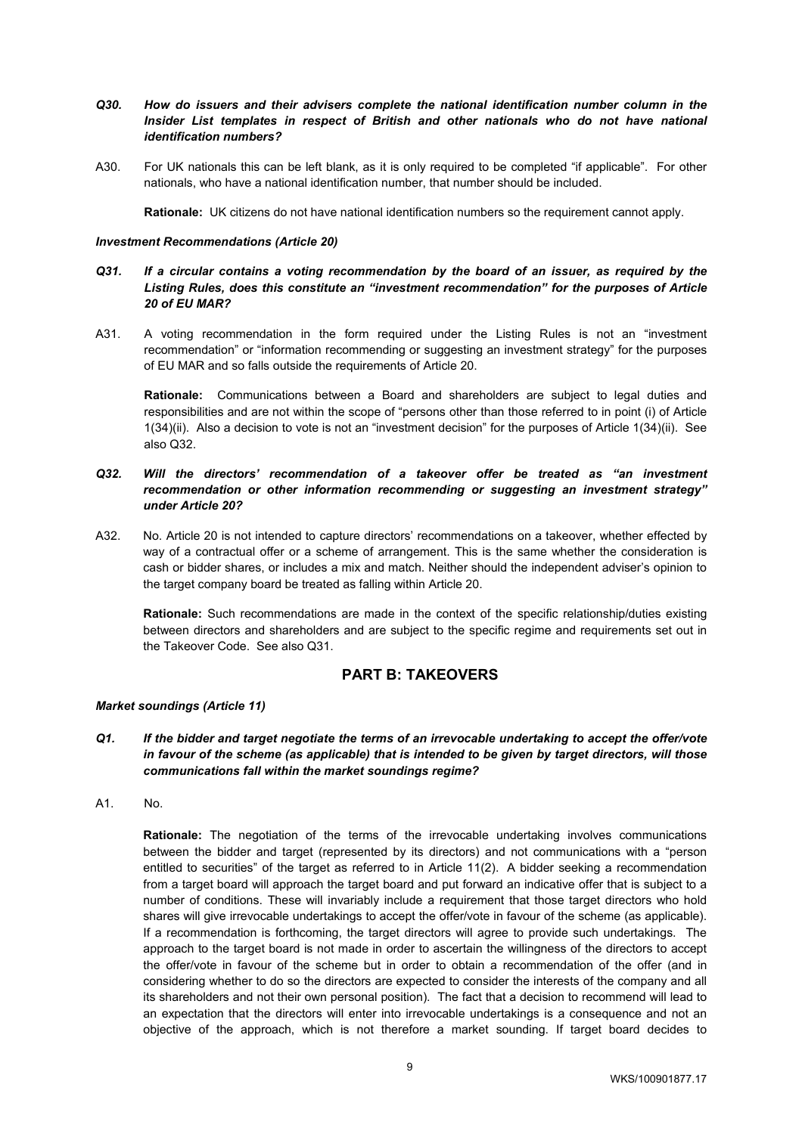### *Q30. How do issuers and their advisers complete the national identification number column in the*  Insider List templates in respect of British and other nationals who do not have national *identification numbers?*

A30. For UK nationals this can be left blank, as it is only required to be completed "if applicable". For other nationals, who have a national identification number, that number should be included.

**Rationale:** UK citizens do not have national identification numbers so the requirement cannot apply.

#### *Investment Recommendations (Article 20)*

- *Q31. If a circular contains a voting recommendation by the board of an issuer, as required by the Listing Rules, does this constitute an "investment recommendation" for the purposes of Article 20 of EU MAR?*
- A31. A voting recommendation in the form required under the Listing Rules is not an "investment recommendation" or "information recommending or suggesting an investment strategy" for the purposes of EU MAR and so falls outside the requirements of Article 20.

**Rationale:** Communications between a Board and shareholders are subject to legal duties and responsibilities and are not within the scope of "persons other than those referred to in point (i) of Article 1(34)(ii). Also a decision to vote is not an "investment decision" for the purposes of Article 1(34)(ii). See also Q32.

- *Q32. Will the directors' recommendation of a takeover offer be treated as "an investment recommendation or other information recommending or suggesting an investment strategy" under Article 20?*
- A32. No. Article 20 is not intended to capture directors' recommendations on a takeover, whether effected by way of a contractual offer or a scheme of arrangement. This is the same whether the consideration is cash or bidder shares, or includes a mix and match. Neither should the independent adviser's opinion to the target company board be treated as falling within Article 20.

**Rationale:** Such recommendations are made in the context of the specific relationship/duties existing between directors and shareholders and are subject to the specific regime and requirements set out in the Takeover Code. See also Q31.

# **PART B: TAKEOVERS**

### *Market soundings (Article 11)*

- *Q1. If the bidder and target negotiate the terms of an irrevocable undertaking to accept the offer/vote in favour of the scheme (as applicable) that is intended to be given by target directors, will those communications fall within the market soundings regime?*
- A1. No.

**Rationale:** The negotiation of the terms of the irrevocable undertaking involves communications between the bidder and target (represented by its directors) and not communications with a "person entitled to securities" of the target as referred to in Article 11(2). A bidder seeking a recommendation from a target board will approach the target board and put forward an indicative offer that is subject to a number of conditions. These will invariably include a requirement that those target directors who hold shares will give irrevocable undertakings to accept the offer/vote in favour of the scheme (as applicable). If a recommendation is forthcoming, the target directors will agree to provide such undertakings. The approach to the target board is not made in order to ascertain the willingness of the directors to accept the offer/vote in favour of the scheme but in order to obtain a recommendation of the offer (and in considering whether to do so the directors are expected to consider the interests of the company and all its shareholders and not their own personal position). The fact that a decision to recommend will lead to an expectation that the directors will enter into irrevocable undertakings is a consequence and not an objective of the approach, which is not therefore a market sounding. If target board decides to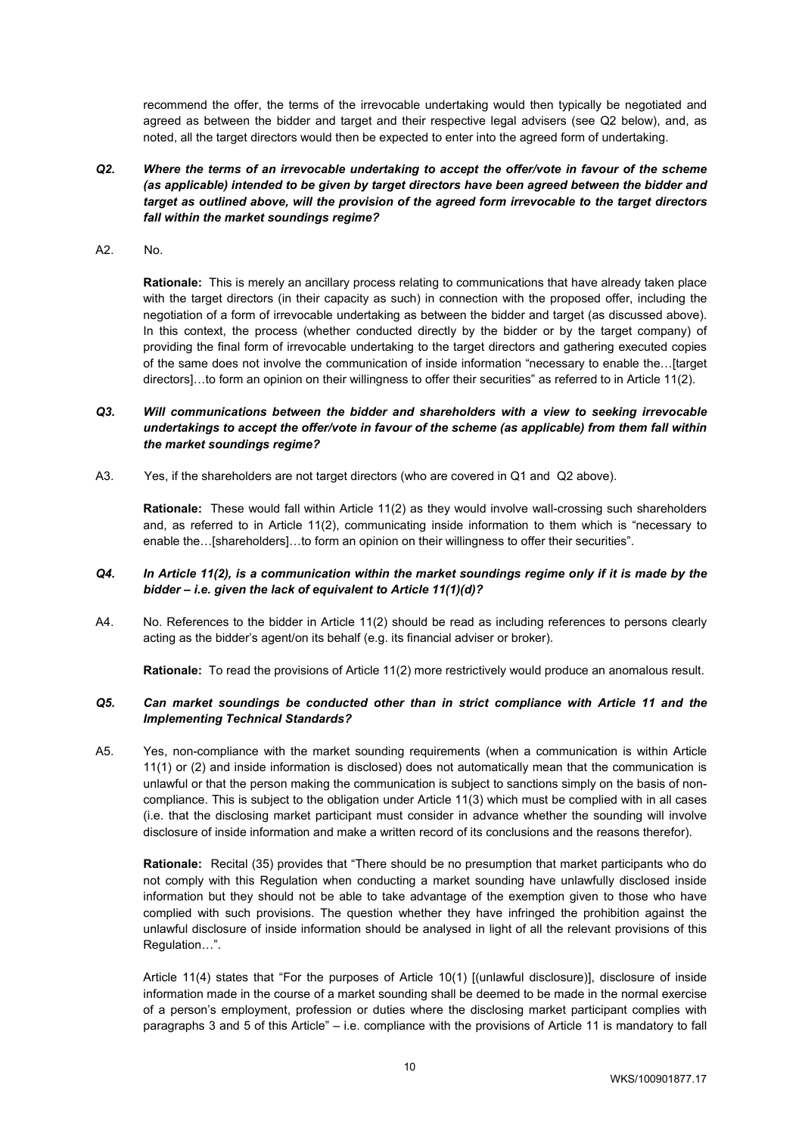recommend the offer, the terms of the irrevocable undertaking would then typically be negotiated and agreed as between the bidder and target and their respective legal advisers (see Q2 below), and, as noted, all the target directors would then be expected to enter into the agreed form of undertaking.

- *Q2. Where the terms of an irrevocable undertaking to accept the offer/vote in favour of the scheme (as applicable) intended to be given by target directors have been agreed between the bidder and target as outlined above, will the provision of the agreed form irrevocable to the target directors fall within the market soundings regime?*
- A2. No.

**Rationale:** This is merely an ancillary process relating to communications that have already taken place with the target directors (in their capacity as such) in connection with the proposed offer, including the negotiation of a form of irrevocable undertaking as between the bidder and target (as discussed above). In this context, the process (whether conducted directly by the bidder or by the target company) of providing the final form of irrevocable undertaking to the target directors and gathering executed copies of the same does not involve the communication of inside information "necessary to enable the…[target directors]…to form an opinion on their willingness to offer their securities" as referred to in Article 11(2).

## *Q3. Will communications between the bidder and shareholders with a view to seeking irrevocable undertakings to accept the offer/vote in favour of the scheme (as applicable) from them fall within the market soundings regime?*

A3. Yes, if the shareholders are not target directors (who are covered in Q1 and Q2 above).

**Rationale:** These would fall within Article 11(2) as they would involve wall-crossing such shareholders and, as referred to in Article 11(2), communicating inside information to them which is "necessary to enable the...[shareholders]...to form an opinion on their willingness to offer their securities".

## *Q4. In Article 11(2), is a communication within the market soundings regime only if it is made by the bidder – i.e. given the lack of equivalent to Article 11(1)(d)?*

A4. No. References to the bidder in Article 11(2) should be read as including references to persons clearly acting as the bidder's agent/on its behalf (e.g. its financial adviser or broker).

**Rationale:** To read the provisions of Article 11(2) more restrictively would produce an anomalous result.

### *Q5. Can market soundings be conducted other than in strict compliance with Article 11 and the Implementing Technical Standards?*

A5. Yes, non-compliance with the market sounding requirements (when a communication is within Article 11(1) or (2) and inside information is disclosed) does not automatically mean that the communication is unlawful or that the person making the communication is subject to sanctions simply on the basis of noncompliance. This is subject to the obligation under Article 11(3) which must be complied with in all cases (i.e. that the disclosing market participant must consider in advance whether the sounding will involve disclosure of inside information and make a written record of its conclusions and the reasons therefor).

**Rationale:** Recital (35) provides that "There should be no presumption that market participants who do not comply with this Regulation when conducting a market sounding have unlawfully disclosed inside information but they should not be able to take advantage of the exemption given to those who have complied with such provisions. The question whether they have infringed the prohibition against the unlawful disclosure of inside information should be analysed in light of all the relevant provisions of this Regulation…".

Article 11(4) states that "For the purposes of Article 10(1) [(unlawful disclosure)], disclosure of inside information made in the course of a market sounding shall be deemed to be made in the normal exercise of a person's employment, profession or duties where the disclosing market participant complies with paragraphs 3 and 5 of this Article" – i.e. compliance with the provisions of Article 11 is mandatory to fall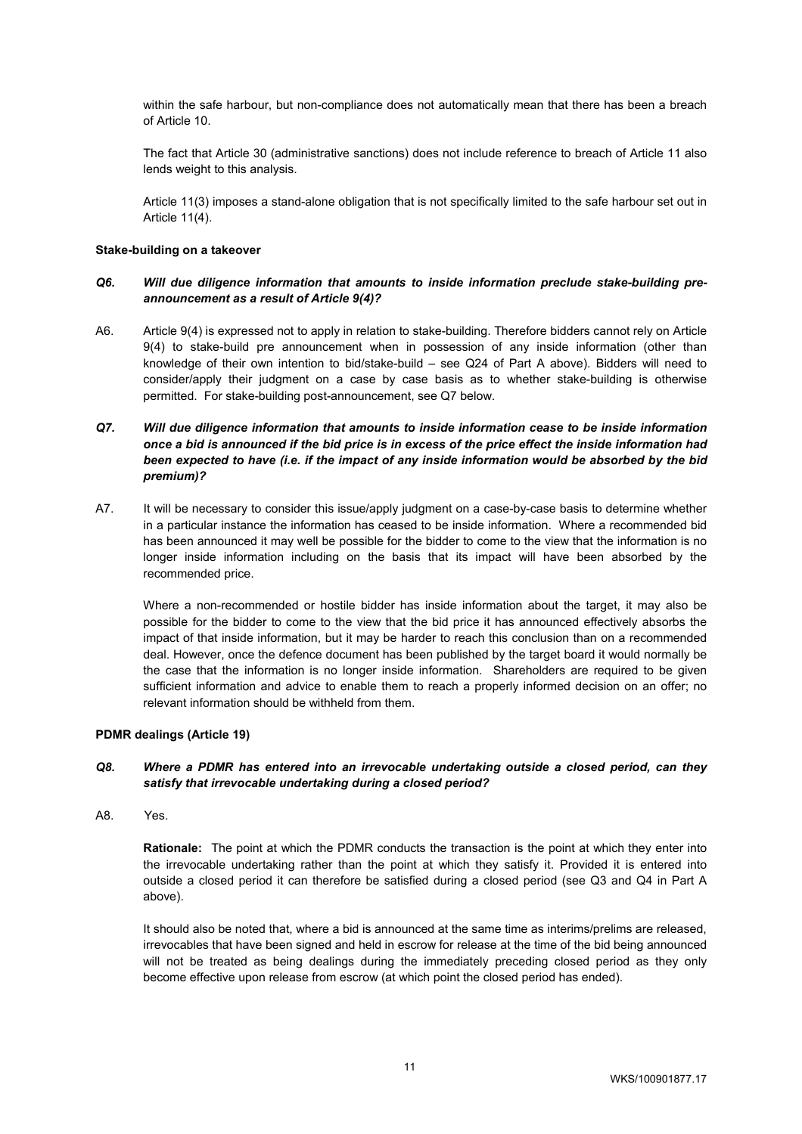within the safe harbour, but non-compliance does not automatically mean that there has been a breach of Article 10.

The fact that Article 30 (administrative sanctions) does not include reference to breach of Article 11 also lends weight to this analysis.

Article 11(3) imposes a stand-alone obligation that is not specifically limited to the safe harbour set out in Article 11(4).

#### **Stake-building on a takeover**

### *Q6. Will due diligence information that amounts to inside information preclude stake-building preannouncement as a result of Article 9(4)?*

A6. Article 9(4) is expressed not to apply in relation to stake-building. Therefore bidders cannot rely on Article 9(4) to stake-build pre announcement when in possession of any inside information (other than knowledge of their own intention to bid/stake-build – see Q24 of Part A above). Bidders will need to consider/apply their judgment on a case by case basis as to whether stake-building is otherwise permitted. For stake-building post-announcement, see Q7 below.

## *Q7. Will due diligence information that amounts to inside information cease to be inside information once a bid is announced if the bid price is in excess of the price effect the inside information had been expected to have (i.e. if the impact of any inside information would be absorbed by the bid premium)?*

A7. It will be necessary to consider this issue/apply judgment on a case-by-case basis to determine whether in a particular instance the information has ceased to be inside information. Where a recommended bid has been announced it may well be possible for the bidder to come to the view that the information is no longer inside information including on the basis that its impact will have been absorbed by the recommended price.

Where a non-recommended or hostile bidder has inside information about the target, it may also be possible for the bidder to come to the view that the bid price it has announced effectively absorbs the impact of that inside information, but it may be harder to reach this conclusion than on a recommended deal. However, once the defence document has been published by the target board it would normally be the case that the information is no longer inside information. Shareholders are required to be given sufficient information and advice to enable them to reach a properly informed decision on an offer; no relevant information should be withheld from them.

#### **PDMR dealings (Article 19)**

### *Q8. Where a PDMR has entered into an irrevocable undertaking outside a closed period, can they satisfy that irrevocable undertaking during a closed period?*

A8. Yes.

**Rationale:** The point at which the PDMR conducts the transaction is the point at which they enter into the irrevocable undertaking rather than the point at which they satisfy it. Provided it is entered into outside a closed period it can therefore be satisfied during a closed period (see Q3 and Q4 in Part A above).

It should also be noted that, where a bid is announced at the same time as interims/prelims are released, irrevocables that have been signed and held in escrow for release at the time of the bid being announced will not be treated as being dealings during the immediately preceding closed period as they only become effective upon release from escrow (at which point the closed period has ended).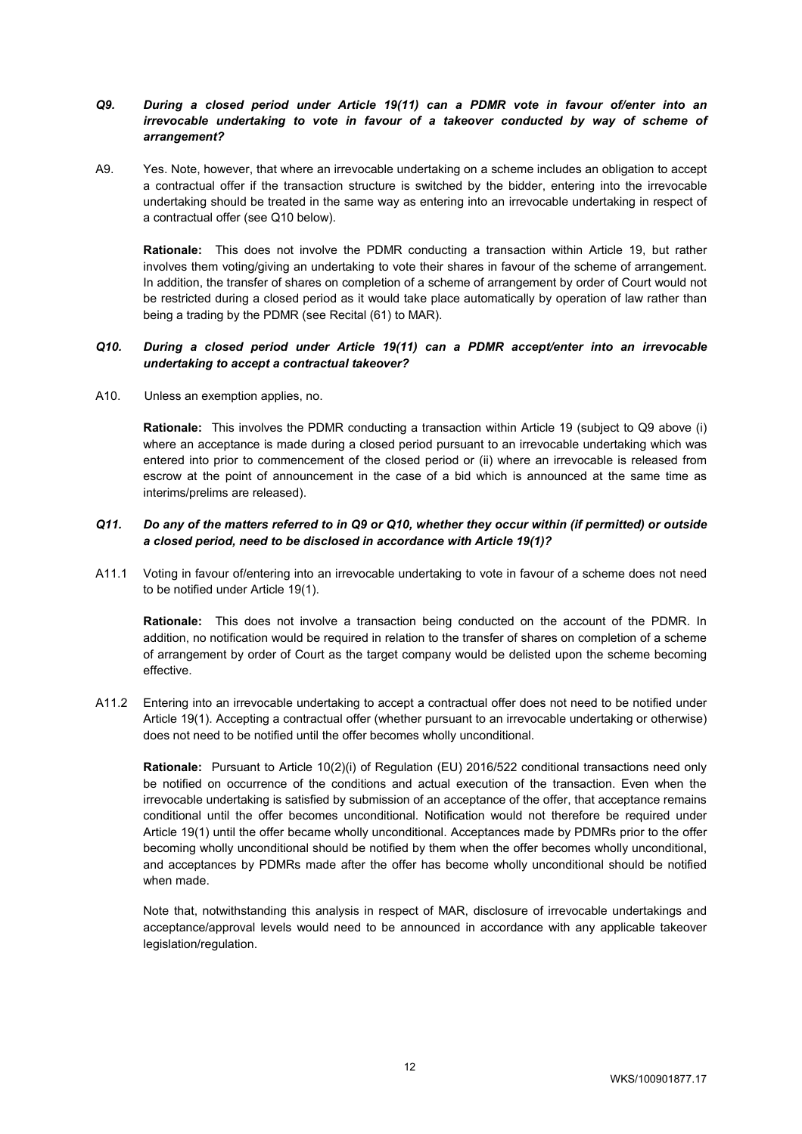## *Q9. During a closed period under Article 19(11) can a PDMR vote in favour of/enter into an irrevocable undertaking to vote in favour of a takeover conducted by way of scheme of arrangement?*

A9. Yes. Note, however, that where an irrevocable undertaking on a scheme includes an obligation to accept a contractual offer if the transaction structure is switched by the bidder, entering into the irrevocable undertaking should be treated in the same way as entering into an irrevocable undertaking in respect of a contractual offer (see Q10 below).

**Rationale:** This does not involve the PDMR conducting a transaction within Article 19, but rather involves them voting/giving an undertaking to vote their shares in favour of the scheme of arrangement. In addition, the transfer of shares on completion of a scheme of arrangement by order of Court would not be restricted during a closed period as it would take place automatically by operation of law rather than being a trading by the PDMR (see Recital (61) to MAR).

### *Q10. During a closed period under Article 19(11) can a PDMR accept/enter into an irrevocable undertaking to accept a contractual takeover?*

A10. Unless an exemption applies, no.

**Rationale:** This involves the PDMR conducting a transaction within Article 19 (subject to Q9 above (i) where an acceptance is made during a closed period pursuant to an irrevocable undertaking which was entered into prior to commencement of the closed period or (ii) where an irrevocable is released from escrow at the point of announcement in the case of a bid which is announced at the same time as interims/prelims are released).

### *Q11. Do any of the matters referred to in Q9 or Q10, whether they occur within (if permitted) or outside a closed period, need to be disclosed in accordance with Article 19(1)?*

A11.1 Voting in favour of/entering into an irrevocable undertaking to vote in favour of a scheme does not need to be notified under Article 19(1).

**Rationale:** This does not involve a transaction being conducted on the account of the PDMR. In addition, no notification would be required in relation to the transfer of shares on completion of a scheme of arrangement by order of Court as the target company would be delisted upon the scheme becoming effective.

A11.2 Entering into an irrevocable undertaking to accept a contractual offer does not need to be notified under Article 19(1). Accepting a contractual offer (whether pursuant to an irrevocable undertaking or otherwise) does not need to be notified until the offer becomes wholly unconditional.

**Rationale:** Pursuant to Article 10(2)(i) of Regulation (EU) 2016/522 conditional transactions need only be notified on occurrence of the conditions and actual execution of the transaction. Even when the irrevocable undertaking is satisfied by submission of an acceptance of the offer, that acceptance remains conditional until the offer becomes unconditional. Notification would not therefore be required under Article 19(1) until the offer became wholly unconditional. Acceptances made by PDMRs prior to the offer becoming wholly unconditional should be notified by them when the offer becomes wholly unconditional, and acceptances by PDMRs made after the offer has become wholly unconditional should be notified when made.

Note that, notwithstanding this analysis in respect of MAR, disclosure of irrevocable undertakings and acceptance/approval levels would need to be announced in accordance with any applicable takeover legislation/regulation.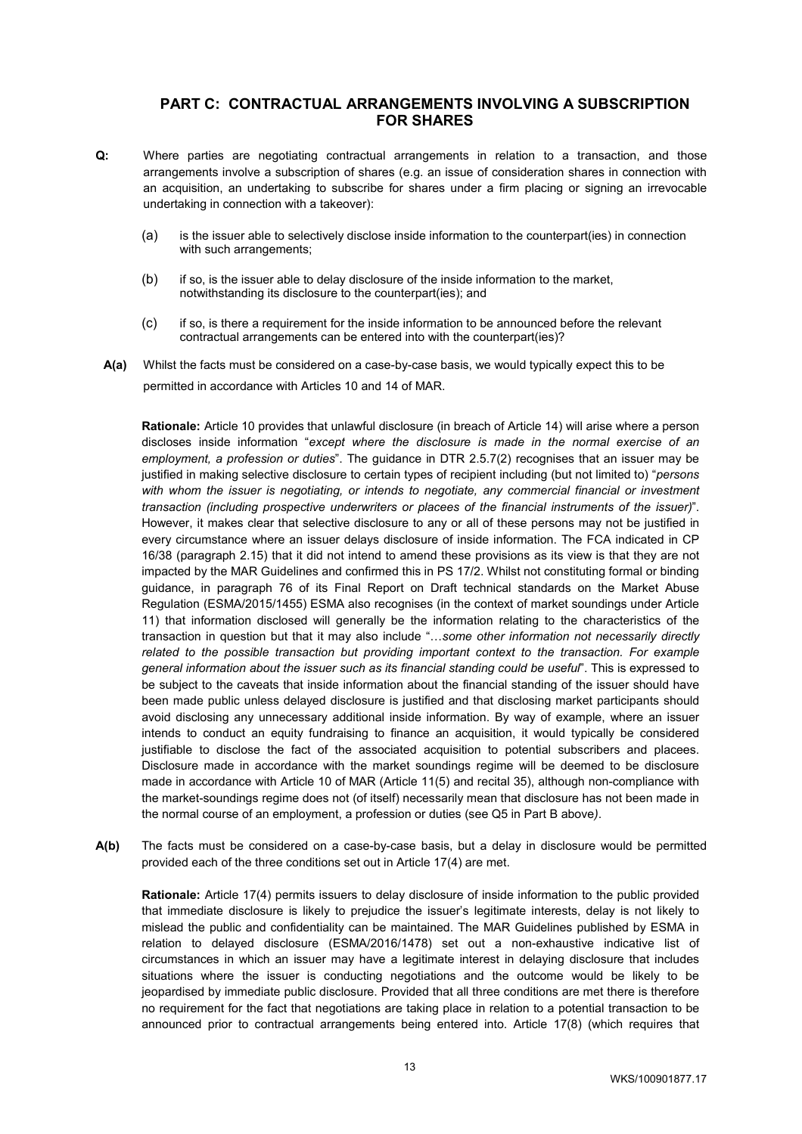# **PART C: CONTRACTUAL ARRANGEMENTS INVOLVING A SUBSCRIPTION FOR SHARES**

- **Q:** Where parties are negotiating contractual arrangements in relation to a transaction, and those arrangements involve a subscription of shares (e.g. an issue of consideration shares in connection with an acquisition, an undertaking to subscribe for shares under a firm placing or signing an irrevocable undertaking in connection with a takeover):
	- (a) is the issuer able to selectively disclose inside information to the counterpart(ies) in connection with such arrangements:
	- (b) if so, is the issuer able to delay disclosure of the inside information to the market, notwithstanding its disclosure to the counterpart(ies); and
	- (c) if so, is there a requirement for the inside information to be announced before the relevant contractual arrangements can be entered into with the counterpart(ies)?
	- **A(a)** Whilst the facts must be considered on a case-by-case basis, we would typically expect this to be permitted in accordance with Articles 10 and 14 of MAR.

**Rationale:** Article 10 provides that unlawful disclosure (in breach of Article 14) will arise where a person discloses inside information "*except where the disclosure is made in the normal exercise of an employment, a profession or duties*". The guidance in DTR 2.5.7(2) recognises that an issuer may be justified in making selective disclosure to certain types of recipient including (but not limited to) "*persons*  with whom the issuer is negotiating, or intends to negotiate, any commercial financial or investment *transaction (including prospective underwriters or placees of the financial instruments of the issuer)*". However, it makes clear that selective disclosure to any or all of these persons may not be justified in every circumstance where an issuer delays disclosure of inside information. The FCA indicated in CP 16/38 (paragraph 2.15) that it did not intend to amend these provisions as its view is that they are not impacted by the MAR Guidelines and confirmed this in PS 17/2. Whilst not constituting formal or binding guidance, in paragraph 76 of its Final Report on Draft technical standards on the Market Abuse Regulation (ESMA/2015/1455) ESMA also recognises (in the context of market soundings under Article 11) that information disclosed will generally be the information relating to the characteristics of the transaction in question but that it may also include "…*some other information not necessarily directly related to the possible transaction but providing important context to the transaction. For example general information about the issuer such as its financial standing could be useful*". This is expressed to be subject to the caveats that inside information about the financial standing of the issuer should have been made public unless delayed disclosure is justified and that disclosing market participants should avoid disclosing any unnecessary additional inside information. By way of example, where an issuer intends to conduct an equity fundraising to finance an acquisition, it would typically be considered justifiable to disclose the fact of the associated acquisition to potential subscribers and placees. Disclosure made in accordance with the market soundings regime will be deemed to be disclosure made in accordance with Article 10 of MAR (Article 11(5) and recital 35), although non-compliance with the market-soundings regime does not (of itself) necessarily mean that disclosure has not been made in the normal course of an employment, a profession or duties (see Q5 in Part B above*)*.

**A(b)** The facts must be considered on a case-by-case basis, but a delay in disclosure would be permitted provided each of the three conditions set out in Article 17(4) are met.

**Rationale:** Article 17(4) permits issuers to delay disclosure of inside information to the public provided that immediate disclosure is likely to prejudice the issuer's legitimate interests, delay is not likely to mislead the public and confidentiality can be maintained. The MAR Guidelines published by ESMA in relation to delayed disclosure (ESMA/2016/1478) set out a non-exhaustive indicative list of circumstances in which an issuer may have a legitimate interest in delaying disclosure that includes situations where the issuer is conducting negotiations and the outcome would be likely to be jeopardised by immediate public disclosure. Provided that all three conditions are met there is therefore no requirement for the fact that negotiations are taking place in relation to a potential transaction to be announced prior to contractual arrangements being entered into. Article 17(8) (which requires that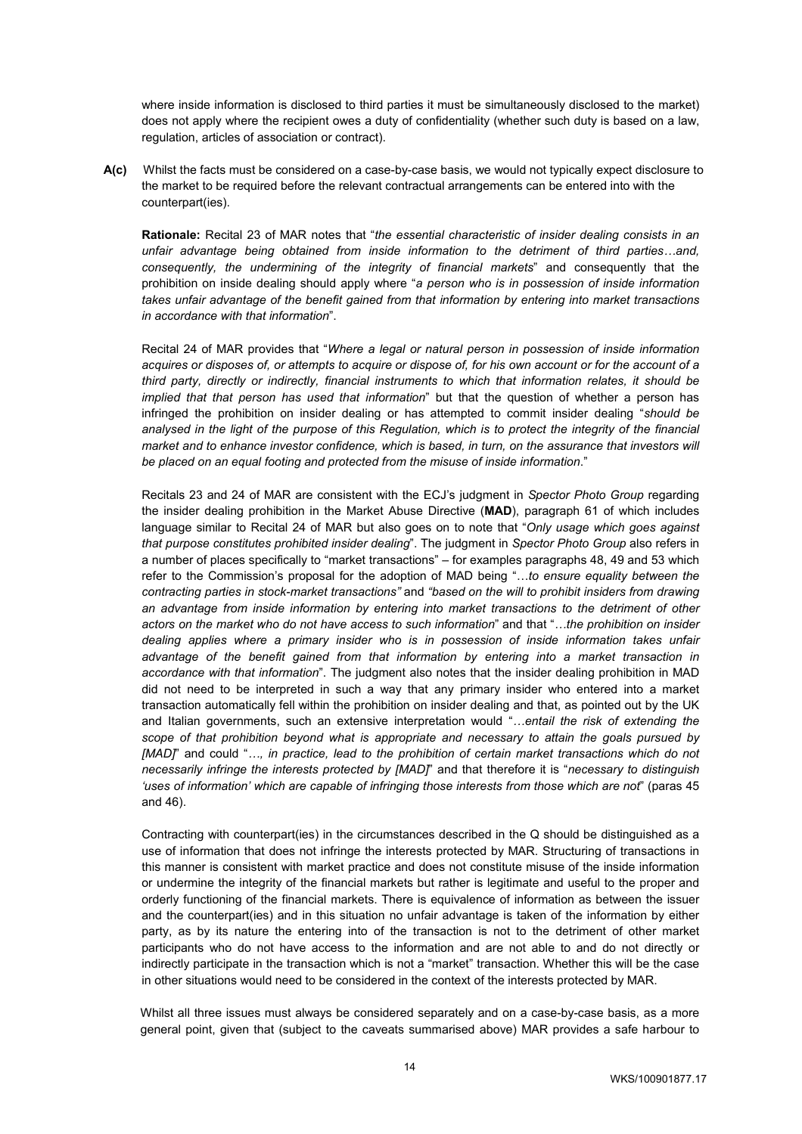where inside information is disclosed to third parties it must be simultaneously disclosed to the market) does not apply where the recipient owes a duty of confidentiality (whether such duty is based on a law, regulation, articles of association or contract).

**A(c)** Whilst the facts must be considered on a case-by-case basis, we would not typically expect disclosure to the market to be required before the relevant contractual arrangements can be entered into with the counterpart(ies).

**Rationale:** Recital 23 of MAR notes that "*the essential characteristic of insider dealing consists in an unfair advantage being obtained from inside information to the detriment of third parties…and, consequently, the undermining of the integrity of financial markets*" and consequently that the prohibition on inside dealing should apply where "*a person who is in possession of inside information takes unfair advantage of the benefit gained from that information by entering into market transactions in accordance with that information*".

Recital 24 of MAR provides that "*Where a legal or natural person in possession of inside information acquires or disposes of, or attempts to acquire or dispose of, for his own account or for the account of a third party, directly or indirectly, financial instruments to which that information relates, it should be implied that that person has used that information*" but that the question of whether a person has infringed the prohibition on insider dealing or has attempted to commit insider dealing "*should be analysed in the light of the purpose of this Regulation, which is to protect the integrity of the financial market and to enhance investor confidence, which is based, in turn, on the assurance that investors will be placed on an equal footing and protected from the misuse of inside information*."

Recitals 23 and 24 of MAR are consistent with the ECJ's judgment in *Spector Photo Group* regarding the insider dealing prohibition in the Market Abuse Directive (**MAD**), paragraph 61 of which includes language similar to Recital 24 of MAR but also goes on to note that "*Only usage which goes against that purpose constitutes prohibited insider dealing*". The judgment in *Spector Photo Group* also refers in a number of places specifically to "market transactions" – for examples paragraphs 48, 49 and 53 which refer to the Commission's proposal for the adoption of MAD being "…*to ensure equality between the contracting parties in stock-market transactions"* and *"based on the will to prohibit insiders from drawing an advantage from inside information by entering into market transactions to the detriment of other actors on the market who do not have access to such information*" and that "*…the prohibition on insider dealing applies where a primary insider who is in possession of inside information takes unfair advantage of the benefit gained from that information by entering into a market transaction in accordance with that information*". The judgment also notes that the insider dealing prohibition in MAD did not need to be interpreted in such a way that any primary insider who entered into a market transaction automatically fell within the prohibition on insider dealing and that, as pointed out by the UK and Italian governments, such an extensive interpretation would "*…entail the risk of extending the scope of that prohibition beyond what is appropriate and necessary to attain the goals pursued by [MAD]*" and could "*…, in practice, lead to the prohibition of certain market transactions which do not necessarily infringe the interests protected by [MAD]*" and that therefore it is "*necessary to distinguish 'uses of information' which are capable of infringing those interests from those which are not*" (paras 45 and 46).

Contracting with counterpart(ies) in the circumstances described in the Q should be distinguished as a use of information that does not infringe the interests protected by MAR. Structuring of transactions in this manner is consistent with market practice and does not constitute misuse of the inside information or undermine the integrity of the financial markets but rather is legitimate and useful to the proper and orderly functioning of the financial markets. There is equivalence of information as between the issuer and the counterpart(ies) and in this situation no unfair advantage is taken of the information by either party, as by its nature the entering into of the transaction is not to the detriment of other market participants who do not have access to the information and are not able to and do not directly or indirectly participate in the transaction which is not a "market" transaction. Whether this will be the case in other situations would need to be considered in the context of the interests protected by MAR.

Whilst all three issues must always be considered separately and on a case-by-case basis, as a more general point, given that (subject to the caveats summarised above) MAR provides a safe harbour to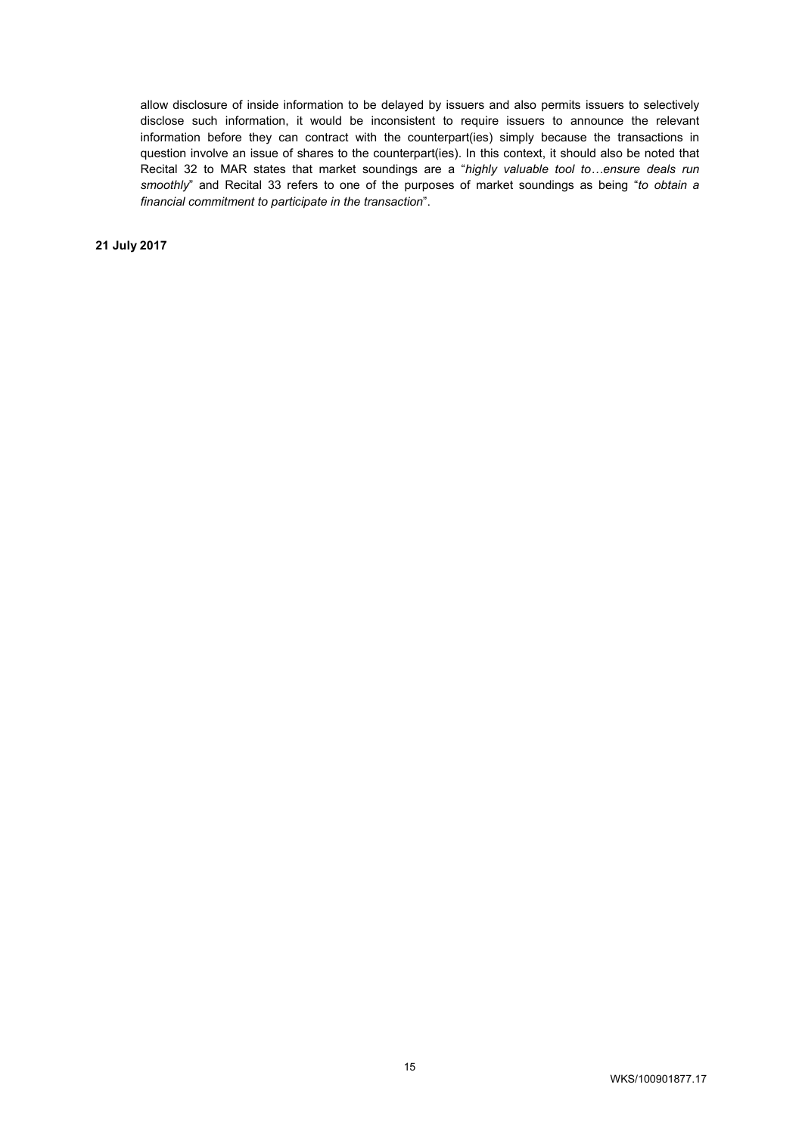allow disclosure of inside information to be delayed by issuers and also permits issuers to selectively disclose such information, it would be inconsistent to require issuers to announce the relevant information before they can contract with the counterpart(ies) simply because the transactions in question involve an issue of shares to the counterpart(ies). In this context, it should also be noted that Recital 32 to MAR states that market soundings are a "*highly valuable tool to…ensure deals run smoothly*" and Recital 33 refers to one of the purposes of market soundings as being "*to obtain a financial commitment to participate in the transaction*".

**21 July 2017**